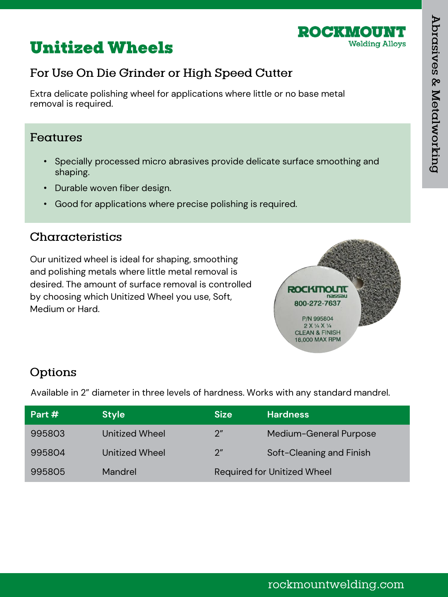

# **Unitized Wheels**

## For Use On Die Grinder or High Speed Cutter

Extra delicate polishing wheel for applications where little or no base metal removal is required.

#### Features

- Specially processed micro abrasives provide delicate surface smoothing and shaping.
- Durable woven fiber design.
- Good for applications where precise polishing is required.

### Characteristics

Our unitized wheel is ideal for shaping, smoothing and polishing metals where little metal removal is desired. The amount of surface removal is controlled by choosing which Unitized Wheel you use, Soft, Medium or Hard.



## Options

Available in 2" diameter in three levels of hardness. Works with any standard mandrel.

| Part # | <b>Style</b>   | <b>Size</b>                        | <b>Hardness</b>          |
|--------|----------------|------------------------------------|--------------------------|
| 995803 | Unitized Wheel | 2 <sup>n</sup>                     | Medium-General Purpose   |
| 995804 | Unitized Wheel | $2^{\prime\prime}$                 | Soft-Cleaning and Finish |
| 995805 | Mandrel        | <b>Required for Unitized Wheel</b> |                          |